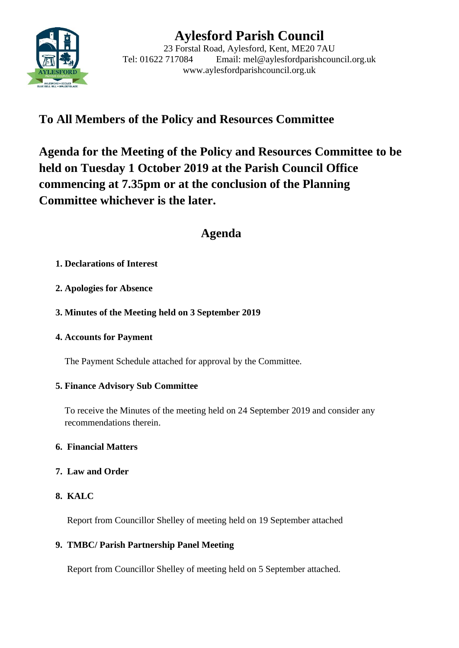

# **Aylesford Parish Council**

23 Forstal Road, Aylesford, Kent, ME20 7AU Tel: 01622 717084 Email: mel@aylesfordparishcouncil.org.uk www.aylesfordparishcouncil.org.uk

## **To All Members of the Policy and Resources Committee**

**Agenda for the Meeting of the Policy and Resources Committee to be held on Tuesday 1 October 2019 at the Parish Council Office commencing at 7.35pm or at the conclusion of the Planning Committee whichever is the later.**

## **Agenda**

#### **1. Declarations of Interest**

**2. Apologies for Absence**

#### **3. Minutes of the Meeting held on 3 September 2019**

#### **4. Accounts for Payment**

The Payment Schedule attached for approval by the Committee.

#### **5. Finance Advisory Sub Committee**

To receive the Minutes of the meeting held on 24 September 2019 and consider any recommendations therein.

#### **6. Financial Matters**

#### **7. Law and Order**

#### **8. KALC**

Report from Councillor Shelley of meeting held on 19 September attached

#### **9. TMBC/ Parish Partnership Panel Meeting**

Report from Councillor Shelley of meeting held on 5 September attached.